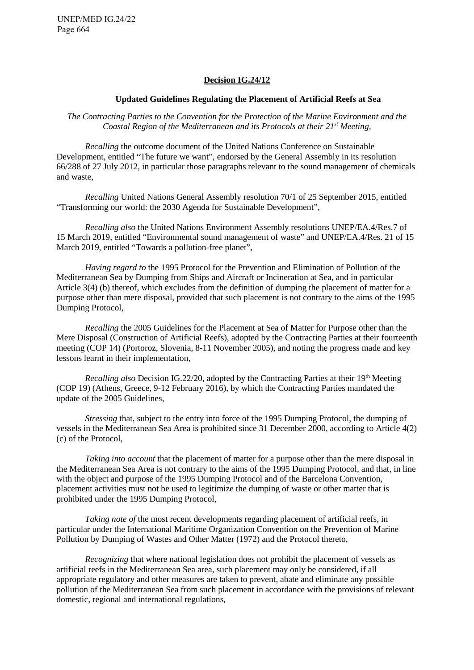UNEP/MED IG.24/22 Page 664

#### **Decision IG.24/12**

#### **Updated Guidelines Regulating the Placement of Artificial Reefs at Sea**

*The Contracting Parties to the Convention for the Protection of the Marine Environment and the Coastal Region of the Mediterranean and its Protocols at their 21st Meeting,* 

*Recalling* the outcome document of the United Nations Conference on Sustainable Development, entitled "The future we want", endorsed by the General Assembly in its resolution 66/288 of 27 July 2012, in particular those paragraphs relevant to the sound management of chemicals and waste,

*Recalling* United Nations General Assembly resolution 70/1 of 25 September 2015, entitled "Transforming our world: the 2030 Agenda for Sustainable Development",

*Recalling also* the United Nations Environment Assembly resolutions UNEP/EA.4/Res.7 of 15 March 2019, entitled "Environmental sound management of waste" and UNEP/EA.4/Res. 21 of 15 March 2019, entitled "Towards a pollution-free planet",

*Having regard to* the 1995 Protocol for the Prevention and Elimination of Pollution of the Mediterranean Sea by Dumping from Ships and Aircraft or Incineration at Sea, and in particular Article 3(4) (b) thereof, which excludes from the definition of dumping the placement of matter for a purpose other than mere disposal, provided that such placement is not contrary to the aims of the 1995 Dumping Protocol,

*Recalling* the 2005 Guidelines for the Placement at Sea of Matter for Purpose other than the Mere Disposal (Construction of Artificial Reefs), adopted by the Contracting Parties at their fourteenth meeting (COP 14) (Portoroz, Slovenia, 8-11 November 2005), and noting the progress made and key lessons learnt in their implementation,

*Recalling also* Decision IG.22/20, adopted by the Contracting Parties at their 19<sup>th</sup> Meeting (COP 19) (Athens, Greece, 9-12 February 2016), by which the Contracting Parties mandated the update of the 2005 Guidelines,

*Stressing* that, subject to the entry into force of the 1995 Dumping Protocol, the dumping of vessels in the Mediterranean Sea Area is prohibited since 31 December 2000, according to Article 4(2) (c) of the Protocol,

*Taking into account* that the placement of matter for a purpose other than the mere disposal in the Mediterranean Sea Area is not contrary to the aims of the 1995 Dumping Protocol, and that, in line with the object and purpose of the 1995 Dumping Protocol and of the Barcelona Convention, placement activities must not be used to legitimize the dumping of waste or other matter that is prohibited under the 1995 Dumping Protocol,

*Taking note of the most recent developments regarding placement of artificial reefs, in* particular under the International Maritime Organization Convention on the Prevention of Marine Pollution by Dumping of Wastes and Other Matter (1972) and the Protocol thereto,

*Recognizing* that where national legislation does not prohibit the placement of vessels as artificial reefs in the Mediterranean Sea area, such placement may only be considered, if all appropriate regulatory and other measures are taken to prevent, abate and eliminate any possible pollution of the Mediterranean Sea from such placement in accordance with the provisions of relevant domestic, regional and international regulations,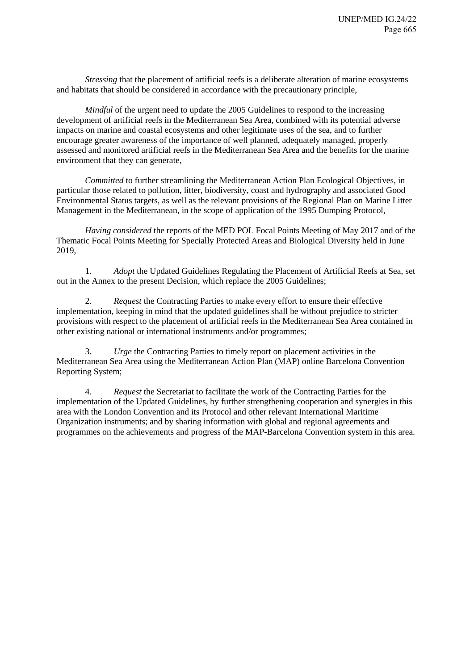*Stressing* that the placement of artificial reefs is a deliberate alteration of marine ecosystems and habitats that should be considered in accordance with the precautionary principle,

*Mindful* of the urgent need to update the 2005 Guidelines to respond to the increasing development of artificial reefs in the Mediterranean Sea Area, combined with its potential adverse impacts on marine and coastal ecosystems and other legitimate uses of the sea, and to further encourage greater awareness of the importance of well planned, adequately managed, properly assessed and monitored artificial reefs in the Mediterranean Sea Area and the benefits for the marine environment that they can generate,

*Committed* to further streamlining the Mediterranean Action Plan Ecological Objectives, in particular those related to pollution, litter, biodiversity, coast and hydrography and associated Good Environmental Status targets, as well as the relevant provisions of the Regional Plan on Marine Litter Management in the Mediterranean, in the scope of application of the 1995 Dumping Protocol,

*Having considered* the reports of the MED POL Focal Points Meeting of May 2017 and of the Thematic Focal Points Meeting for Specially Protected Areas and Biological Diversity held in June 2019,

1. *Adopt* the Updated Guidelines Regulating the Placement of Artificial Reefs at Sea, set out in the Annex to the present Decision, which replace the 2005 Guidelines;

2. *Request* the Contracting Parties to make every effort to ensure their effective implementation, keeping in mind that the updated guidelines shall be without prejudice to stricter provisions with respect to the placement of artificial reefs in the Mediterranean Sea Area contained in other existing national or international instruments and/or programmes;

3. *Urge* the Contracting Parties to timely report on placement activities in the Mediterranean Sea Area using the Mediterranean Action Plan (MAP) online Barcelona Convention Reporting System;

4. *Request* the Secretariat to facilitate the work of the Contracting Parties for the implementation of the Updated Guidelines, by further strengthening cooperation and synergies in this area with the London Convention and its Protocol and other relevant International Maritime Organization instruments; and by sharing information with global and regional agreements and programmes on the achievements and progress of the MAP-Barcelona Convention system in this area.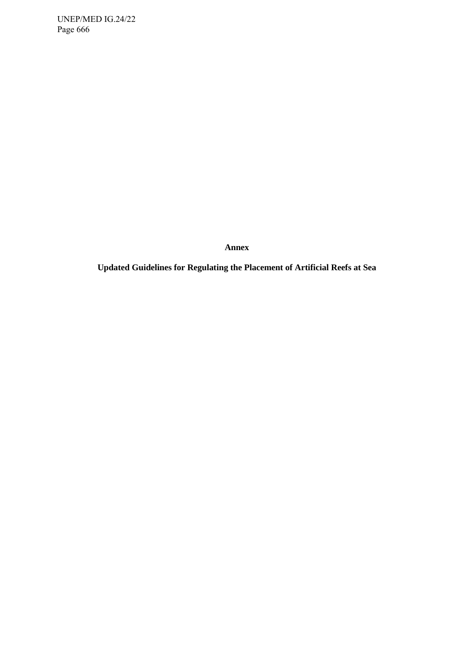UNEP/MED IG.24/22 Page 666

**Annex**

<span id="page-2-0"></span>**Updated Guidelines for Regulating the Placement of Artificial Reefs at Sea**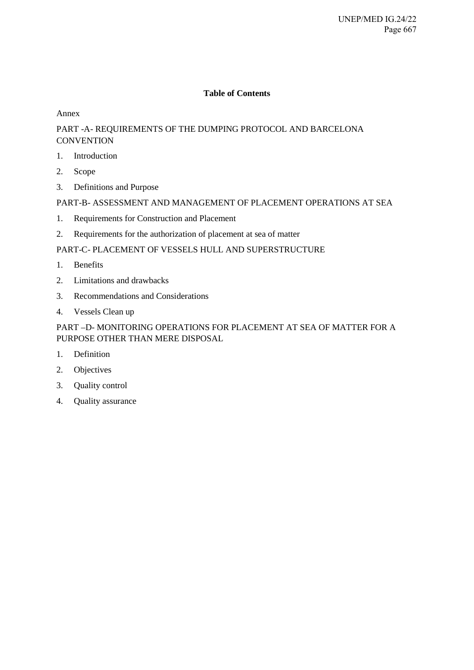# **Table of Contents**

### [Annex](#page-2-0)

# [PART -A- REQUIREMENTS OF THE DUMPING PROTOCOL AND BARCELONA](#page-5-0)  **[CONVENTION](#page-5-0)**

- [1. Introduction](#page-5-1)
- [2. Scope](#page-6-0)
- [3. Definitions and Purpose](#page-6-1)

# [PART-B- ASSESSMENT AND MANAGEMENT OF PLACEMENT OPERATIONS AT SEA](#page-7-0)

- [1. Requirements for Construction and Placement](#page-7-1)
- [2. Requirements for the authorization of placement at sea of matter](#page-9-0)

# [PART-C- PLACEMENT OF VESSELS HULL AND SUPERSTRUCTURE](#page-13-0)

- [1. Benefits](#page-13-1)
- [2. Limitations and drawbacks](#page-14-0)
- [3. Recommendations and Considerations](#page-15-0)
- [4. Vessels Clean up](#page-16-0)

# [PART –D- MONITORING OPERATIONS FOR PLACEMENT AT SEA OF MATTER FOR A](#page-24-0)  [PURPOSE OTHER THAN MERE DISPOSAL](#page-24-0)

- [1. Definition](#page-24-1)
- [2. Objectives](#page-24-2)
- [3. Quality control](#page-24-3)
- [4. Quality assurance](#page-25-0)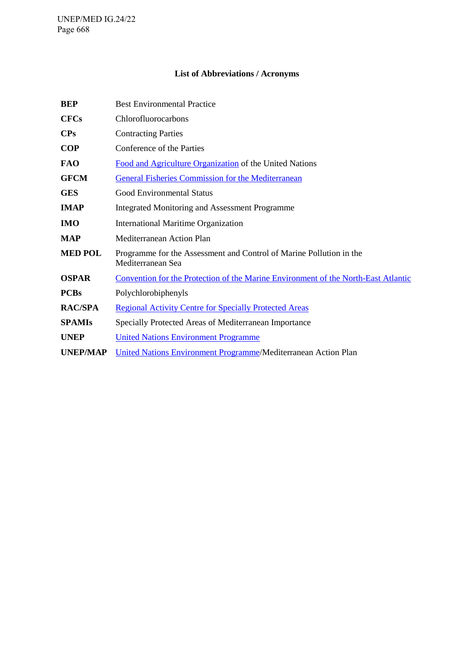# **List of Abbreviations / Acronyms**

| <b>BEP</b>      | <b>Best Environmental Practice</b>                                                        |
|-----------------|-------------------------------------------------------------------------------------------|
| <b>CFCs</b>     | Chlorofluorocarbons                                                                       |
| CPs             | <b>Contracting Parties</b>                                                                |
| <b>COP</b>      | Conference of the Parties                                                                 |
| <b>FAO</b>      | Food and Agriculture Organization of the United Nations                                   |
| <b>GFCM</b>     | <b>General Fisheries Commission for the Mediterranean</b>                                 |
| <b>GES</b>      | <b>Good Environmental Status</b>                                                          |
| <b>IMAP</b>     | <b>Integrated Monitoring and Assessment Programme</b>                                     |
| <b>IMO</b>      | <b>International Maritime Organization</b>                                                |
| <b>MAP</b>      | <b>Mediterranean Action Plan</b>                                                          |
| <b>MED POL</b>  | Programme for the Assessment and Control of Marine Pollution in the<br>Mediterranean Sea  |
| <b>OSPAR</b>    | <u>Convention for the Protection of the Marine Environment of the North-East Atlantic</u> |
| <b>PCBs</b>     | Polychlorobiphenyls                                                                       |
| <b>RAC/SPA</b>  | <b>Regional Activity Centre for Specially Protected Areas</b>                             |
| <b>SPAMIs</b>   | Specially Protected Areas of Mediterranean Importance                                     |
| <b>UNEP</b>     | <b>United Nations Environment Programme</b>                                               |
| <b>UNEP/MAP</b> | United Nations Environment Programme/Mediterranean Action Plan                            |
|                 |                                                                                           |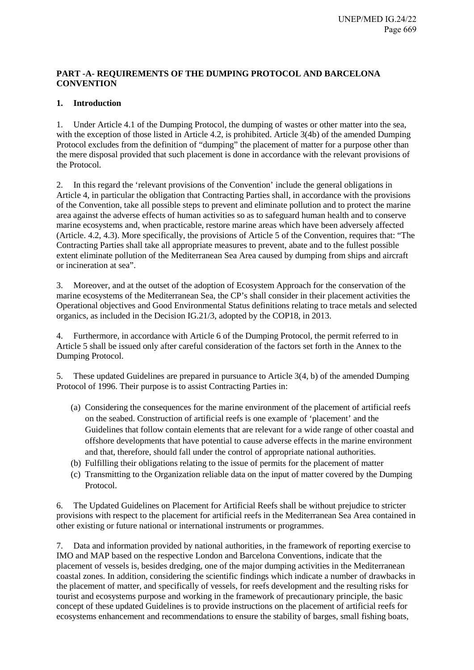# <span id="page-5-0"></span>**PART -A- REQUIREMENTS OF THE DUMPING PROTOCOL AND BARCELONA CONVENTION**

# <span id="page-5-1"></span>**1. Introduction**

1. Under Article 4.1 of the Dumping Protocol, the dumping of wastes or other matter into the sea, with the exception of those listed in Article 4.2, is prohibited. Article 3(4b) of the amended Dumping Protocol excludes from the definition of "dumping" the placement of matter for a purpose other than the mere disposal provided that such placement is done in accordance with the relevant provisions of the Protocol.

2. In this regard the 'relevant provisions of the Convention' include the general obligations in Article 4, in particular the obligation that Contracting Parties shall, in accordance with the provisions of the Convention, take all possible steps to prevent and eliminate pollution and to protect the marine area against the adverse effects of human activities so as to safeguard human health and to conserve marine ecosystems and, when practicable, restore marine areas which have been adversely affected (Article. 4.2, 4.3). More specifically, the provisions of Article 5 of the Convention, requires that: "The Contracting Parties shall take all appropriate measures to prevent, abate and to the fullest possible extent eliminate pollution of the Mediterranean Sea Area caused by dumping from ships and aircraft or incineration at sea".

3. Moreover, and at the outset of the adoption of Ecosystem Approach for the conservation of the marine ecosystems of the Mediterranean Sea, the CP's shall consider in their placement activities the Operational objectives and Good Environmental Status definitions relating to trace metals and selected organics, as included in the Decision IG.21/3, adopted by the COP18, in 2013.

4. Furthermore, in accordance with Article 6 of the Dumping Protocol, the permit referred to in Article 5 shall be issued only after careful consideration of the factors set forth in the Annex to the Dumping Protocol.

5. These updated Guidelines are prepared in pursuance to Article 3(4, b) of the amended Dumping Protocol of 1996. Their purpose is to assist Contracting Parties in:

- (a) Considering the consequences for the marine environment of the placement of artificial reefs on the seabed. Construction of artificial reefs is one example of 'placement' and the Guidelines that follow contain elements that are relevant for a wide range of other coastal and offshore developments that have potential to cause adverse effects in the marine environment and that, therefore, should fall under the control of appropriate national authorities.
- (b) Fulfilling their obligations relating to the issue of permits for the placement of matter
- (c) Transmitting to the Organization reliable data on the input of matter covered by the Dumping Protocol.

6. The Updated Guidelines on Placement for Artificial Reefs shall be without prejudice to stricter provisions with respect to the placement for artificial reefs in the Mediterranean Sea Area contained in other existing or future national or international instruments or programmes.

7. Data and information provided by national authorities, in the framework of reporting exercise to IMO and MAP based on the respective London and Barcelona Conventions, indicate that the placement of vessels is, besides dredging, one of the major dumping activities in the Mediterranean coastal zones. In addition, considering the scientific findings which indicate a number of drawbacks in the placement of matter, and specifically of vessels, for reefs development and the resulting risks for tourist and ecosystems purpose and working in the framework of precautionary principle, the basic concept of these updated Guidelines is to provide instructions on the placement of artificial reefs for ecosystems enhancement and recommendations to ensure the stability of barges, small fishing boats,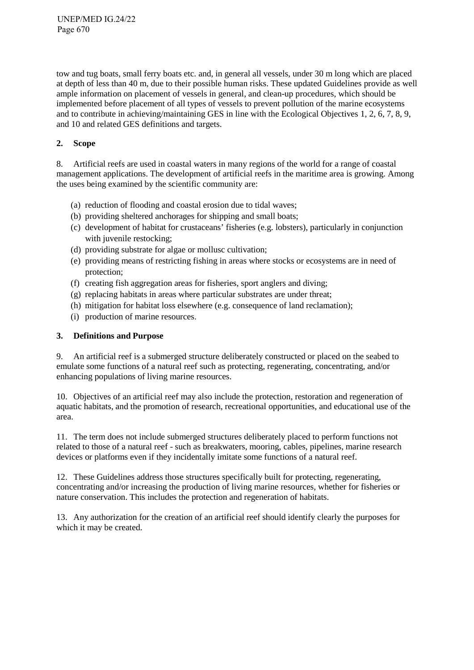tow and tug boats, small ferry boats etc. and, in general all vessels, under 30 m long which are placed at depth of less than 40 m, due to their possible human risks. These updated Guidelines provide as well ample information on placement of vessels in general, and clean-up procedures, which should be implemented before placement of all types of vessels to prevent pollution of the marine ecosystems and to contribute in achieving/maintaining GES in line with the Ecological Objectives 1, 2, 6, 7, 8, 9, and 10 and related GES definitions and targets.

# <span id="page-6-0"></span>**2. Scope**

8. Artificial reefs are used in coastal waters in many regions of the world for a range of coastal management applications. The development of artificial reefs in the maritime area is growing. Among the uses being examined by the scientific community are:

- (a) reduction of flooding and coastal erosion due to tidal waves;
- (b) providing sheltered anchorages for shipping and small boats;
- (c) development of habitat for crustaceans' fisheries (e.g. lobsters), particularly in conjunction with juvenile restocking;
- (d) providing substrate for algae or mollusc cultivation;
- (e) providing means of restricting fishing in areas where stocks or ecosystems are in need of protection;
- (f) creating fish aggregation areas for fisheries, sport anglers and diving;
- (g) replacing habitats in areas where particular substrates are under threat;
- (h) mitigation for habitat loss elsewhere (e.g. consequence of land reclamation);
- (i) production of marine resources.

### <span id="page-6-1"></span>**3. Definitions and Purpose**

9. An artificial reef is a submerged structure deliberately constructed or placed on the seabed to emulate some functions of a natural reef such as protecting, regenerating, concentrating, and/or enhancing populations of living marine resources.

10. Objectives of an artificial reef may also include the protection, restoration and regeneration of aquatic habitats, and the promotion of research, recreational opportunities, and educational use of the area.

11. The term does not include submerged structures deliberately placed to perform functions not related to those of a natural reef - such as breakwaters, mooring, cables, pipelines, marine research devices or platforms even if they incidentally imitate some functions of a natural reef.

12. These Guidelines address those structures specifically built for protecting, regenerating, concentrating and/or increasing the production of living marine resources, whether for fisheries or nature conservation. This includes the protection and regeneration of habitats.

13. Any authorization for the creation of an artificial reef should identify clearly the purposes for which it may be created.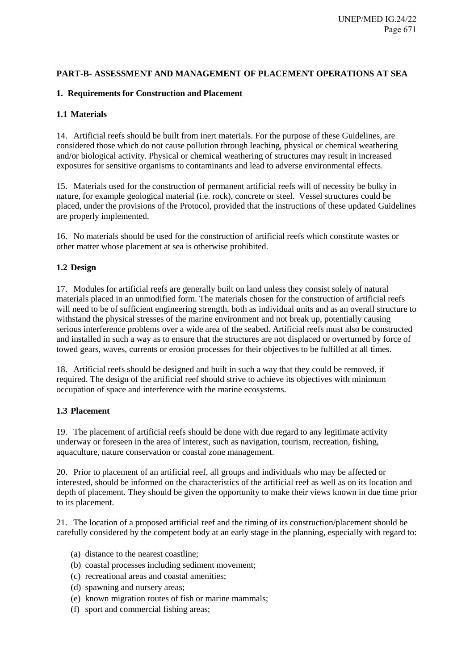### <span id="page-7-1"></span><span id="page-7-0"></span>**PART-B- ASSESSMENT AND MANAGEMENT OF PLACEMENT OPERATIONS AT SEA**

### **1. Requirements for Construction and Placement**

### **1.1 Materials**

14. Artificial reefs should be built from inert materials. For the purpose of these Guidelines, are considered those which do not cause pollution through leaching, physical or chemical weathering and/or biological activity. Physical or chemical weathering of structures may result in increased exposures for sensitive organisms to contaminants and lead to adverse environmental effects.

15. Materials used for the construction of permanent artificial reefs will of necessity be bulky in nature, for example geological material (i.e. rock), concrete or steel. Vessel structures could be placed, under the provisions of the Protocol, provided that the instructions of these updated Guidelines are properly implemented.

16. No materials should be used for the construction of artificial reefs which constitute wastes or other matter whose placement at sea is otherwise prohibited.

### **1.2 Design**

17. Modules for artificial reefs are generally built on land unless they consist solely of natural materials placed in an unmodified form. The materials chosen for the construction of artificial reefs will need to be of sufficient engineering strength, both as individual units and as an overall structure to withstand the physical stresses of the marine environment and not break up, potentially causing serious interference problems over a wide area of the seabed. Artificial reefs must also be constructed and installed in such a way as to ensure that the structures are not displaced or overturned by force of towed gears, waves, currents or erosion processes for their objectives to be fulfilled at all times.

18. Artificial reefs should be designed and built in such a way that they could be removed, if required. The design of the artificial reef should strive to achieve its objectives with minimum occupation of space and interference with the marine ecosystems.

### **1.3 Placement**

19. The placement of artificial reefs should be done with due regard to any legitimate activity underway or foreseen in the area of interest, such as navigation, tourism, recreation, fishing, aquaculture, nature conservation or coastal zone management.

20. Prior to placement of an artificial reef, all groups and individuals who may be affected or interested, should be informed on the characteristics of the artificial reef as well as on its location and depth of placement. They should be given the opportunity to make their views known in due time prior to its placement.

21. The location of a proposed artificial reef and the timing of its construction/placement should be carefully considered by the competent body at an early stage in the planning, especially with regard to:

- (a) distance to the nearest coastline;
- (b) coastal processes including sediment movement;
- (c) recreational areas and coastal amenities;
- (d) spawning and nursery areas;
- (e) known migration routes of fish or marine mammals;
- (f) sport and commercial fishing areas;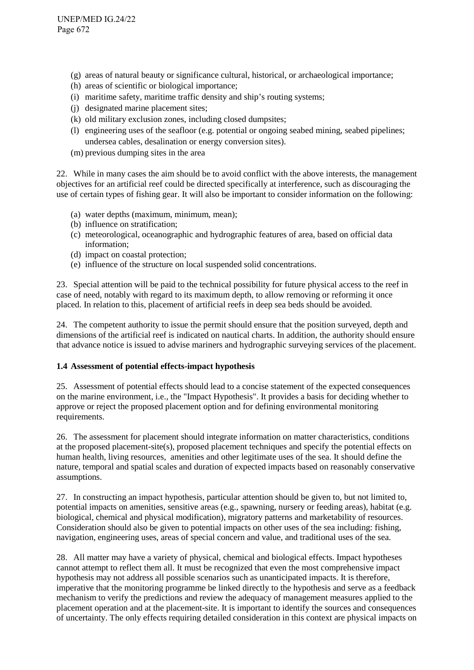- (g) areas of natural beauty or significance cultural, historical, or archaeological importance;
- (h) areas of scientific or biological importance;
- (i) maritime safety, maritime traffic density and ship's routing systems;
- (j) designated marine placement sites;
- (k) old military exclusion zones, including closed dumpsites;
- (l) engineering uses of the seafloor (e.g. potential or ongoing seabed mining, seabed pipelines; undersea cables, desalination or energy conversion sites).
- (m) previous dumping sites in the area

22. While in many cases the aim should be to avoid conflict with the above interests, the management objectives for an artificial reef could be directed specifically at interference, such as discouraging the use of certain types of fishing gear. It will also be important to consider information on the following:

- (a) water depths (maximum, minimum, mean);
- (b) influence on stratification;
- (c) meteorological, oceanographic and hydrographic features of area, based on official data information;
- (d) impact on coastal protection;
- (e) influence of the structure on local suspended solid concentrations.

23. Special attention will be paid to the technical possibility for future physical access to the reef in case of need, notably with regard to its maximum depth, to allow removing or reforming it once placed. In relation to this, placement of artificial reefs in deep sea beds should be avoided.

24. The competent authority to issue the permit should ensure that the position surveyed, depth and dimensions of the artificial reef is indicated on nautical charts. In addition, the authority should ensure that advance notice is issued to advise mariners and hydrographic surveying services of the placement.

### **1.4 Assessment of potential effects-impact hypothesis**

25. Assessment of potential effects should lead to a concise statement of the expected consequences on the marine environment, i.e., the "Impact Hypothesis". It provides a basis for deciding whether to approve or reject the proposed placement option and for defining environmental monitoring requirements.

26. The assessment for placement should integrate information on matter characteristics, conditions at the proposed placement-site(s), proposed placement techniques and specify the potential effects on human health, living resources, amenities and other legitimate uses of the sea. It should define the nature, temporal and spatial scales and duration of expected impacts based on reasonably conservative assumptions.

27. In constructing an impact hypothesis, particular attention should be given to, but not limited to, potential impacts on amenities, sensitive areas (e.g., spawning, nursery or feeding areas), habitat (e.g. biological, chemical and physical modification), migratory patterns and marketability of resources. Consideration should also be given to potential impacts on other uses of the sea including: fishing, navigation, engineering uses, areas of special concern and value, and traditional uses of the sea.

28. All matter may have a variety of physical, chemical and biological effects. Impact hypotheses cannot attempt to reflect them all. It must be recognized that even the most comprehensive impact hypothesis may not address all possible scenarios such as unanticipated impacts. It is therefore, imperative that the monitoring programme be linked directly to the hypothesis and serve as a feedback mechanism to verify the predictions and review the adequacy of management measures applied to the placement operation and at the placement-site. It is important to identify the sources and consequences of uncertainty. The only effects requiring detailed consideration in this context are physical impacts on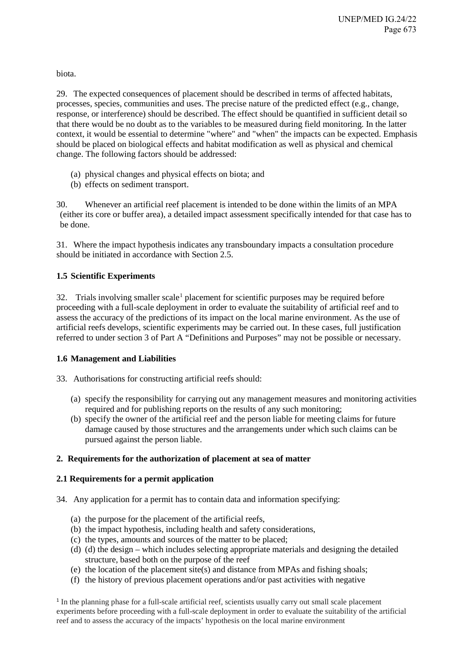biota.

29. The expected consequences of placement should be described in terms of affected habitats, processes, species, communities and uses. The precise nature of the predicted effect (e.g., change, response, or interference) should be described. The effect should be quantified in sufficient detail so that there would be no doubt as to the variables to be measured during field monitoring. In the latter context, it would be essential to determine "where" and "when" the impacts can be expected. Emphasis should be placed on biological effects and habitat modification as well as physical and chemical change. The following factors should be addressed:

- (a) physical changes and physical effects on biota; and
- (b) effects on sediment transport.

30. Whenever an artificial reef placement is intended to be done within the limits of an MPA (either its core or buffer area), a detailed impact assessment specifically intended for that case has to be done.

31. Where the impact hypothesis indicates any transboundary impacts a consultation procedure should be initiated in accordance with Section 2.5.

# **1.5 Scientific Experiments**

 $32.$  Trials involving smaller scale<sup>[1](#page-9-1)</sup> placement for scientific purposes may be required before proceeding with a full-scale deployment in order to evaluate the suitability of artificial reef and to assess the accuracy of the predictions of its impact on the local marine environment. As the use of artificial reefs develops, scientific experiments may be carried out. In these cases, full justification referred to under section 3 of Part A "Definitions and Purposes" may not be possible or necessary.

# **1.6 Management and Liabilities**

33. Authorisations for constructing artificial reefs should:

- (a) specify the responsibility for carrying out any management measures and monitoring activities required and for publishing reports on the results of any such monitoring;
- (b) specify the owner of the artificial reef and the person liable for meeting claims for future damage caused by those structures and the arrangements under which such claims can be pursued against the person liable.

# <span id="page-9-0"></span>**2. Requirements for the authorization of placement at sea of matter**

# **2.1 Requirements for a permit application**

- 34. Any application for a permit has to contain data and information specifying:
	- (a) the purpose for the placement of the artificial reefs,
	- (b) the impact hypothesis, including health and safety considerations,
	- (c) the types, amounts and sources of the matter to be placed;
	- (d) (d) the design which includes selecting appropriate materials and designing the detailed structure, based both on the purpose of the reef
	- (e) the location of the placement site(s) and distance from MPAs and fishing shoals;
	- (f) the history of previous placement operations and/or past activities with negative

<span id="page-9-1"></span><sup>1</sup> In the planning phase for a full-scale artificial reef, scientists usually carry out small scale placement experiments before proceeding with a full-scale deployment in order to evaluate the suitability of the artificial reef and to assess the accuracy of the impacts' hypothesis on the local marine environment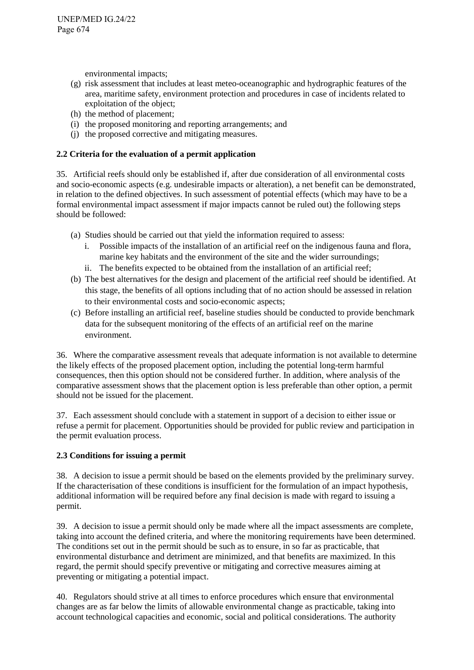environmental impacts;

- (g) risk assessment that includes at least meteo-oceanographic and hydrographic features of the area, maritime safety, environment protection and procedures in case of incidents related to exploitation of the object;
- (h) the method of placement;
- (i) the proposed monitoring and reporting arrangements; and
- (j) the proposed corrective and mitigating measures.

# **2.2 Criteria for the evaluation of a permit application**

35. Artificial reefs should only be established if, after due consideration of all environmental costs and socio-economic aspects (e.g. undesirable impacts or alteration), a net benefit can be demonstrated, in relation to the defined objectives. In such assessment of potential effects (which may have to be a formal environmental impact assessment if major impacts cannot be ruled out) the following steps should be followed:

- (a) Studies should be carried out that yield the information required to assess:
	- i. Possible impacts of the installation of an artificial reef on the indigenous fauna and flora, marine key habitats and the environment of the site and the wider surroundings;
	- ii. The benefits expected to be obtained from the installation of an artificial reef;
- (b) The best alternatives for the design and placement of the artificial reef should be identified. At this stage, the benefits of all options including that of no action should be assessed in relation to their environmental costs and socio-economic aspects;
- (c) Before installing an artificial reef, baseline studies should be conducted to provide benchmark data for the subsequent monitoring of the effects of an artificial reef on the marine environment.

36. Where the comparative assessment reveals that adequate information is not available to determine the likely effects of the proposed placement option, including the potential long-term harmful consequences, then this option should not be considered further. In addition, where analysis of the comparative assessment shows that the placement option is less preferable than other option, a permit should not be issued for the placement.

37. Each assessment should conclude with a statement in support of a decision to either issue or refuse a permit for placement. Opportunities should be provided for public review and participation in the permit evaluation process.

# **2.3 Conditions for issuing a permit**

38. A decision to issue a permit should be based on the elements provided by the preliminary survey. If the characterisation of these conditions is insufficient for the formulation of an impact hypothesis, additional information will be required before any final decision is made with regard to issuing a permit.

39. A decision to issue a permit should only be made where all the impact assessments are complete, taking into account the defined criteria, and where the monitoring requirements have been determined. The conditions set out in the permit should be such as to ensure, in so far as practicable, that environmental disturbance and detriment are minimized, and that benefits are maximized. In this regard, the permit should specify preventive or mitigating and corrective measures aiming at preventing or mitigating a potential impact.

40. Regulators should strive at all times to enforce procedures which ensure that environmental changes are as far below the limits of allowable environmental change as practicable, taking into account technological capacities and economic, social and political considerations. The authority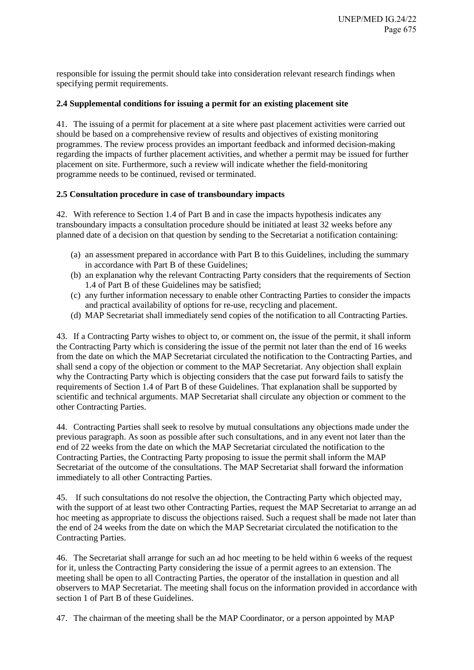responsible for issuing the permit should take into consideration relevant research findings when specifying permit requirements.

### **2.4 Supplemental conditions for issuing a permit for an existing placement site**

41. The issuing of a permit for placement at a site where past placement activities were carried out should be based on a comprehensive review of results and objectives of existing monitoring programmes. The review process provides an important feedback and informed decision-making regarding the impacts of further placement activities, and whether a permit may be issued for further placement on site. Furthermore, such a review will indicate whether the field-monitoring programme needs to be continued, revised or terminated.

### **2.5 Consultation procedure in case of transboundary impacts**

42. With reference to Section 1.4 of Part B and in case the impacts hypothesis indicates any transboundary impacts a consultation procedure should be initiated at least 32 weeks before any planned date of a decision on that question by sending to the Secretariat a notification containing:

- (a) an assessment prepared in accordance with Part B to this Guidelines, including the summary in accordance with Part B of these Guidelines;
- (b) an explanation why the relevant Contracting Party considers that the requirements of Section 1.4 of Part B of these Guidelines may be satisfied;
- (c) any further information necessary to enable other Contracting Parties to consider the impacts and practical availability of options for re-use, recycling and placement.
- (d) MAP Secretariat shall immediately send copies of the notification to all Contracting Parties.

43. If a Contracting Party wishes to object to, or comment on, the issue of the permit, it shall inform the Contracting Party which is considering the issue of the permit not later than the end of 16 weeks from the date on which the MAP Secretariat circulated the notification to the Contracting Parties, and shall send a copy of the objection or comment to the MAP Secretariat. Any objection shall explain why the Contracting Party which is objecting considers that the case put forward fails to satisfy the requirements of Section 1.4 of Part B of these Guidelines. That explanation shall be supported by scientific and technical arguments. MAP Secretariat shall circulate any objection or comment to the other Contracting Parties.

44. Contracting Parties shall seek to resolve by mutual consultations any objections made under the previous paragraph. As soon as possible after such consultations, and in any event not later than the end of 22 weeks from the date on which the MAP Secretariat circulated the notification to the Contracting Parties, the Contracting Party proposing to issue the permit shall inform the MAP Secretariat of the outcome of the consultations. The MAP Secretariat shall forward the information immediately to all other Contracting Parties.

45. If such consultations do not resolve the objection, the Contracting Party which objected may, with the support of at least two other Contracting Parties, request the MAP Secretariat to arrange an ad hoc meeting as appropriate to discuss the objections raised. Such a request shall be made not later than the end of 24 weeks from the date on which the MAP Secretariat circulated the notification to the Contracting Parties.

46. The Secretariat shall arrange for such an ad hoc meeting to be held within 6 weeks of the request for it, unless the Contracting Party considering the issue of a permit agrees to an extension. The meeting shall be open to all Contracting Parties, the operator of the installation in question and all observers to MAP Secretariat. The meeting shall focus on the information provided in accordance with section 1 of Part B of these Guidelines.

47. The chairman of the meeting shall be the MAP Coordinator, or a person appointed by MAP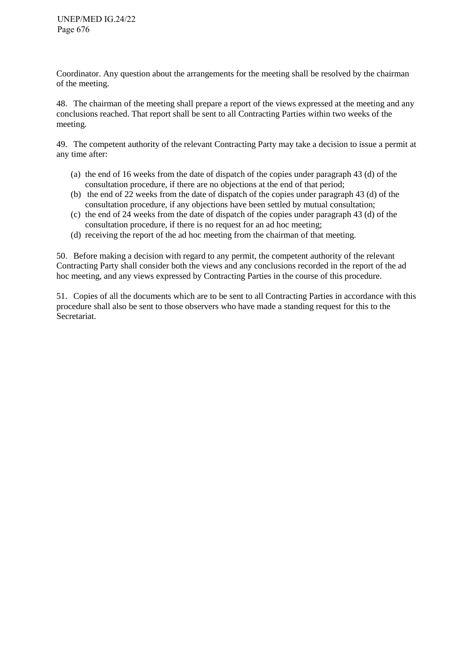Coordinator. Any question about the arrangements for the meeting shall be resolved by the chairman of the meeting.

48. The chairman of the meeting shall prepare a report of the views expressed at the meeting and any conclusions reached. That report shall be sent to all Contracting Parties within two weeks of the meeting.

49. The competent authority of the relevant Contracting Party may take a decision to issue a permit at any time after:

- (a) the end of 16 weeks from the date of dispatch of the copies under paragraph 43 (d) of the consultation procedure, if there are no objections at the end of that period;
- (b) the end of 22 weeks from the date of dispatch of the copies under paragraph 43 (d) of the consultation procedure, if any objections have been settled by mutual consultation;
- (c) the end of 24 weeks from the date of dispatch of the copies under paragraph 43 (d) of the consultation procedure, if there is no request for an ad hoc meeting;
- (d) receiving the report of the ad hoc meeting from the chairman of that meeting.

50. Before making a decision with regard to any permit, the competent authority of the relevant Contracting Party shall consider both the views and any conclusions recorded in the report of the ad hoc meeting, and any views expressed by Contracting Parties in the course of this procedure.

51. Copies of all the documents which are to be sent to all Contracting Parties in accordance with this procedure shall also be sent to those observers who have made a standing request for this to the Secretariat.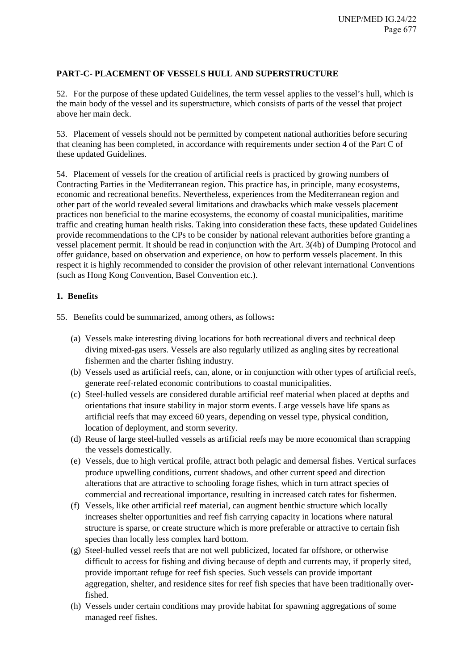# <span id="page-13-0"></span>**PART-C- PLACEMENT OF VESSELS HULL AND SUPERSTRUCTURE**

52. For the purpose of these updated Guidelines, the term vessel applies to the vessel's hull, which is the main body of the vessel and its superstructure, which consists of parts of the vessel that project above her main deck.

53. Placement of vessels should not be permitted by competent national authorities before securing that cleaning has been completed, in accordance with requirements under section 4 of the Part C of these updated Guidelines.

54. Placement of vessels for the creation of artificial reefs is practiced by growing numbers of Contracting Parties in the Mediterranean region. This practice has, in principle, many ecosystems, economic and recreational benefits. Nevertheless, experiences from the Mediterranean region and other part of the world revealed several limitations and drawbacks which make vessels placement practices non beneficial to the marine ecosystems, the economy of coastal municipalities, maritime traffic and creating human health risks. Taking into consideration these facts, these updated Guidelines provide recommendations to the CPs to be consider by national relevant authorities before granting a vessel placement permit. It should be read in conjunction with the Art. 3(4b) of Dumping Protocol and offer guidance, based on observation and experience, on how to perform vessels placement. In this respect it is highly recommended to consider the provision of other relevant international Conventions (such as Hong Kong Convention, Basel Convention etc.).

### <span id="page-13-1"></span>**1. Benefits**

55. Benefits could be summarized, among others, as follows**:** 

- (a) Vessels make interesting diving locations for both recreational divers and technical deep diving mixed-gas users. Vessels are also regularly utilized as angling sites by recreational fishermen and the charter fishing industry.
- (b) Vessels used as artificial reefs, can, alone, or in conjunction with other types of artificial reefs, generate reef-related economic contributions to coastal municipalities.
- (c) Steel-hulled vessels are considered durable artificial reef material when placed at depths and orientations that insure stability in major storm events. Large vessels have life spans as artificial reefs that may exceed 60 years, depending on vessel type, physical condition, location of deployment, and storm severity.
- (d) Reuse of large steel-hulled vessels as artificial reefs may be more economical than scrapping the vessels domestically.
- (e) Vessels, due to high vertical profile, attract both pelagic and demersal fishes. Vertical surfaces produce upwelling conditions, current shadows, and other current speed and direction alterations that are attractive to schooling forage fishes, which in turn attract species of commercial and recreational importance, resulting in increased catch rates for fishermen.
- (f) Vessels, like other artificial reef material, can augment benthic structure which locally increases shelter opportunities and reef fish carrying capacity in locations where natural structure is sparse, or create structure which is more preferable or attractive to certain fish species than locally less complex hard bottom.
- (g) Steel-hulled vessel reefs that are not well publicized, located far offshore, or otherwise difficult to access for fishing and diving because of depth and currents may, if properly sited, provide important refuge for reef fish species. Such vessels can provide important aggregation, shelter, and residence sites for reef fish species that have been traditionally overfished.
- (h) Vessels under certain conditions may provide habitat for spawning aggregations of some managed reef fishes.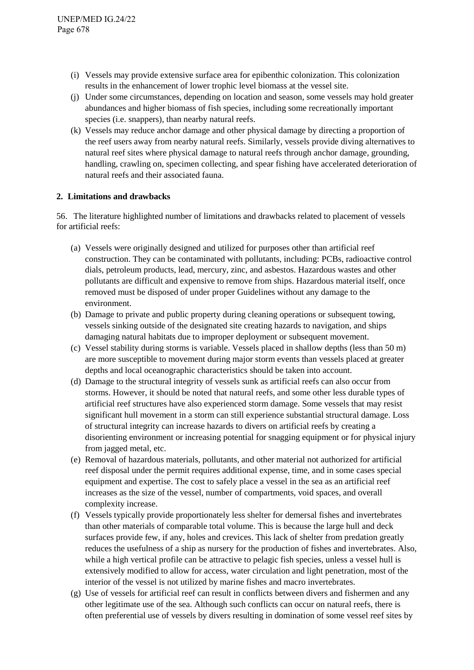- (i) Vessels may provide extensive surface area for epibenthic colonization. This colonization results in the enhancement of lower trophic level biomass at the vessel site.
- (j) Under some circumstances, depending on location and season, some vessels may hold greater abundances and higher biomass of fish species, including some recreationally important species (i.e. snappers), than nearby natural reefs.
- (k) Vessels may reduce anchor damage and other physical damage by directing a proportion of the reef users away from nearby natural reefs. Similarly, vessels provide diving alternatives to natural reef sites where physical damage to natural reefs through anchor damage, grounding, handling, crawling on, specimen collecting, and spear fishing have accelerated deterioration of natural reefs and their associated fauna.

### <span id="page-14-0"></span>**2. Limitations and drawbacks**

56. The literature highlighted number of limitations and drawbacks related to placement of vessels for artificial reefs:

- (a) Vessels were originally designed and utilized for purposes other than artificial reef construction. They can be contaminated with pollutants, including: PCBs, radioactive control dials, petroleum products, lead, mercury, zinc, and asbestos. Hazardous wastes and other pollutants are difficult and expensive to remove from ships. Hazardous material itself, once removed must be disposed of under proper Guidelines without any damage to the environment.
- (b) Damage to private and public property during cleaning operations or subsequent towing, vessels sinking outside of the designated site creating hazards to navigation, and ships damaging natural habitats due to improper deployment or subsequent movement.
- (c) Vessel stability during storms is variable. Vessels placed in shallow depths (less than 50 m) are more susceptible to movement during major storm events than vessels placed at greater depths and local oceanographic characteristics should be taken into account.
- (d) Damage to the structural integrity of vessels sunk as artificial reefs can also occur from storms. However, it should be noted that natural reefs, and some other less durable types of artificial reef structures have also experienced storm damage. Some vessels that may resist significant hull movement in a storm can still experience substantial structural damage. Loss of structural integrity can increase hazards to divers on artificial reefs by creating a disorienting environment or increasing potential for snagging equipment or for physical injury from jagged metal, etc.
- (e) Removal of hazardous materials, pollutants, and other material not authorized for artificial reef disposal under the permit requires additional expense, time, and in some cases special equipment and expertise. The cost to safely place a vessel in the sea as an artificial reef increases as the size of the vessel, number of compartments, void spaces, and overall complexity increase.
- (f) Vessels typically provide proportionately less shelter for demersal fishes and invertebrates than other materials of comparable total volume. This is because the large hull and deck surfaces provide few, if any, holes and crevices. This lack of shelter from predation greatly reduces the usefulness of a ship as nursery for the production of fishes and invertebrates. Also, while a high vertical profile can be attractive to pelagic fish species, unless a vessel hull is extensively modified to allow for access, water circulation and light penetration, most of the interior of the vessel is not utilized by marine fishes and macro invertebrates.
- (g) Use of vessels for artificial reef can result in conflicts between divers and fishermen and any other legitimate use of the sea. Although such conflicts can occur on natural reefs, there is often preferential use of vessels by divers resulting in domination of some vessel reef sites by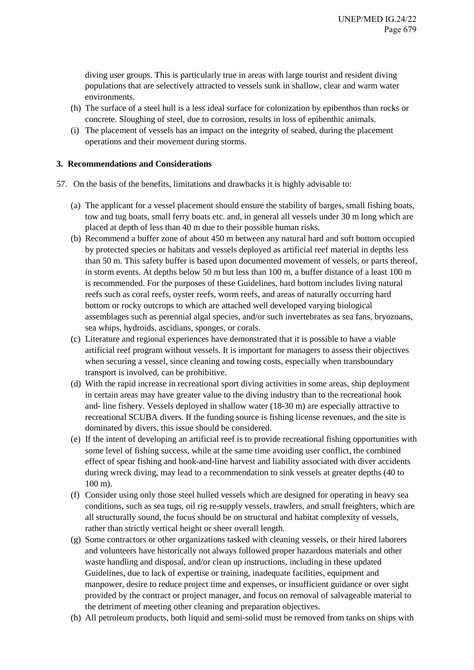diving user groups. This is particularly true in areas with large tourist and resident diving populations that are selectively attracted to vessels sunk in shallow, clear and warm water environments.

- (h) The surface of a steel hull is a less ideal surface for colonization by epibenthos than rocks or concrete. Sloughing of steel, due to corrosion, results in loss of epibenthic animals.
- (i) The placement of vessels has an impact on the integrity of seabed, during the placement operations and their movement during storms.

### <span id="page-15-0"></span>**3. Recommendations and Considerations**

- 57. On the basis of the benefits, limitations and drawbacks it is highly advisable to:
	- (a) The applicant for a vessel placement should ensure the stability of barges, small fishing boats, tow and tug boats, small ferry boats etc. and, in general all vessels under 30 m long which are placed at depth of less than 40 m due to their possible human risks.
	- (b) Recommend a buffer zone of about 450 m between any natural hard and soft bottom occupied by protected species or habitats and vessels deployed as artificial reef material in depths less than 50 m. This safety buffer is based upon documented movement of vessels, or parts thereof, in storm events. At depths below 50 m but less than 100 m, a buffer distance of a least 100 m is recommended. For the purposes of these Guidelines, hard bottom includes living natural reefs such as coral reefs, oyster reefs, worm reefs, and areas of naturally occurring hard bottom or rocky outcrops to which are attached well developed varying biological assemblages such as perennial algal species, and/or such invertebrates as sea fans, bryozoans, sea whips, hydroids, ascidians, sponges, or corals.
	- (c) Literature and regional experiences have demonstrated that it is possible to have a viable artificial reef program without vessels. It is important for managers to assess their objectives when securing a vessel, since cleaning and towing costs, especially when transboundary transport is involved, can be prohibitive.
	- (d) With the rapid increase in recreational sport diving activities in some areas, ship deployment in certain areas may have greater value to the diving industry than to the recreational hook and- line fishery. Vessels deployed in shallow water (18-30 m) are especially attractive to recreational SCUBA divers. If the funding source is fishing license revenues, and the site is dominated by divers, this issue should be considered.
	- (e) If the intent of developing an artificial reef is to provide recreational fishing opportunities with some level of fishing success, while at the same time avoiding user conflict, the combined effect of spear fishing and hook-and-line harvest and liability associated with diver accidents during wreck diving, may lead to a recommendation to sink vessels at greater depths (40 to 100 m).
	- (f) Consider using only those steel hulled vessels which are designed for operating in heavy sea conditions, such as sea tugs, oil rig re-supply vessels, trawlers, and small freighters, which are all structurally sound, the focus should be on structural and habitat complexity of vessels, rather than strictly vertical height or sheer overall length.
	- (g) Some contractors or other organizations tasked with cleaning vessels, or their hired laborers and volunteers have historically not always followed proper hazardous materials and other waste handling and disposal, and/or clean up instructions, including in these updated Guidelines, due to lack of expertise or training, inadequate facilities, equipment and manpower, desire to reduce project time and expenses, or insufficient guidance or over sight provided by the contract or project manager, and focus on removal of salvageable material to the detriment of meeting other cleaning and preparation objectives.
	- (h) All petroleum products, both liquid and semi-solid must be removed from tanks on ships with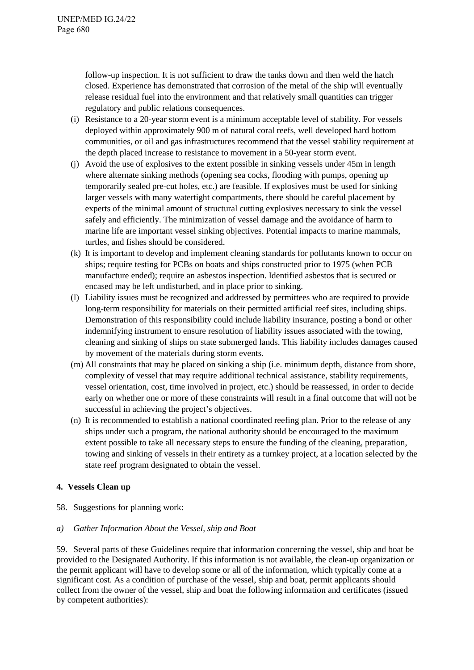follow-up inspection. It is not sufficient to draw the tanks down and then weld the hatch closed. Experience has demonstrated that corrosion of the metal of the ship will eventually release residual fuel into the environment and that relatively small quantities can trigger regulatory and public relations consequences.

- (i) Resistance to a 20-year storm event is a minimum acceptable level of stability. For vessels deployed within approximately 900 m of natural coral reefs, well developed hard bottom communities, or oil and gas infrastructures recommend that the vessel stability requirement at the depth placed increase to resistance to movement in a 50-year storm event.
- (j) Avoid the use of explosives to the extent possible in sinking vessels under 45m in length where alternate sinking methods (opening sea cocks, flooding with pumps, opening up temporarily sealed pre-cut holes, etc.) are feasible. If explosives must be used for sinking larger vessels with many watertight compartments, there should be careful placement by experts of the minimal amount of structural cutting explosives necessary to sink the vessel safely and efficiently. The minimization of vessel damage and the avoidance of harm to marine life are important vessel sinking objectives. Potential impacts to marine mammals, turtles, and fishes should be considered.
- (k) It is important to develop and implement cleaning standards for pollutants known to occur on ships; require testing for PCBs on boats and ships constructed prior to 1975 (when PCB manufacture ended); require an asbestos inspection. Identified asbestos that is secured or encased may be left undisturbed, and in place prior to sinking.
- (l) Liability issues must be recognized and addressed by permittees who are required to provide long-term responsibility for materials on their permitted artificial reef sites, including ships. Demonstration of this responsibility could include liability insurance, posting a bond or other indemnifying instrument to ensure resolution of liability issues associated with the towing, cleaning and sinking of ships on state submerged lands. This liability includes damages caused by movement of the materials during storm events.
- (m) All constraints that may be placed on sinking a ship (i.e. minimum depth, distance from shore, complexity of vessel that may require additional technical assistance, stability requirements, vessel orientation, cost, time involved in project, etc.) should be reassessed, in order to decide early on whether one or more of these constraints will result in a final outcome that will not be successful in achieving the project's objectives.
- (n) It is recommended to establish a national coordinated reefing plan. Prior to the release of any ships under such a program, the national authority should be encouraged to the maximum extent possible to take all necessary steps to ensure the funding of the cleaning, preparation, towing and sinking of vessels in their entirety as a turnkey project, at a location selected by the state reef program designated to obtain the vessel.

# <span id="page-16-0"></span>**4. Vessels Clean up**

58. Suggestions for planning work:

# *a) Gather Information About the Vessel, ship and Boat*

59. Several parts of these Guidelines require that information concerning the vessel, ship and boat be provided to the Designated Authority. If this information is not available, the clean-up organization or the permit applicant will have to develop some or all of the information, which typically come at a significant cost. As a condition of purchase of the vessel, ship and boat, permit applicants should collect from the owner of the vessel, ship and boat the following information and certificates (issued by competent authorities):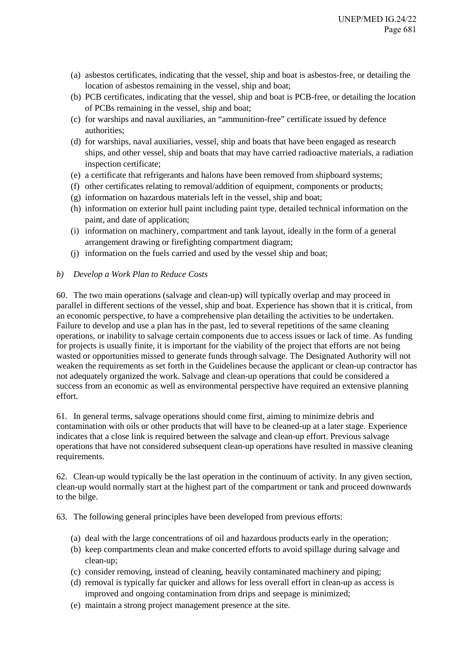- (a) asbestos certificates, indicating that the vessel, ship and boat is asbestos-free, or detailing the location of asbestos remaining in the vessel, ship and boat;
- (b) PCB certificates, indicating that the vessel, ship and boat is PCB-free, or detailing the location of PCBs remaining in the vessel, ship and boat;
- (c) for warships and naval auxiliaries, an "ammunition-free" certificate issued by defence authorities;
- (d) for warships, naval auxiliaries, vessel, ship and boats that have been engaged as research ships, and other vessel, ship and boats that may have carried radioactive materials, a radiation inspection certificate;
- (e) a certificate that refrigerants and halons have been removed from shipboard systems;
- (f) other certificates relating to removal/addition of equipment, components or products;
- (g) information on hazardous materials left in the vessel, ship and boat;
- (h) information on exterior hull paint including paint type, detailed technical information on the paint, and date of application;
- (i) information on machinery, compartment and tank layout, ideally in the form of a general arrangement drawing or firefighting compartment diagram;
- (j) information on the fuels carried and used by the vessel ship and boat;

#### *b) Develop a Work Plan to Reduce Costs*

60. The two main operations (salvage and clean-up) will typically overlap and may proceed in parallel in different sections of the vessel, ship and boat. Experience has shown that it is critical, from an economic perspective, to have a comprehensive plan detailing the activities to be undertaken. Failure to develop and use a plan has in the past, led to several repetitions of the same cleaning operations, or inability to salvage certain components due to access issues or lack of time. As funding for projects is usually finite, it is important for the viability of the project that efforts are not being wasted or opportunities missed to generate funds through salvage. The Designated Authority will not weaken the requirements as set forth in the Guidelines because the applicant or clean-up contractor has not adequately organized the work. Salvage and clean-up operations that could be considered a success from an economic as well as environmental perspective have required an extensive planning effort.

61. In general terms, salvage operations should come first, aiming to minimize debris and contamination with oils or other products that will have to be cleaned-up at a later stage. Experience indicates that a close link is required between the salvage and clean-up effort. Previous salvage operations that have not considered subsequent clean-up operations have resulted in massive cleaning requirements.

62. Clean-up would typically be the last operation in the continuum of activity. In any given section, clean-up would normally start at the highest part of the compartment or tank and proceed downwards to the bilge.

63. The following general principles have been developed from previous efforts:

- (a) deal with the large concentrations of oil and hazardous products early in the operation;
- (b) keep compartments clean and make concerted efforts to avoid spillage during salvage and clean-up;
- (c) consider removing, instead of cleaning, heavily contaminated machinery and piping;
- (d) removal is typically far quicker and allows for less overall effort in clean-up as access is improved and ongoing contamination from drips and seepage is minimized;
- (e) maintain a strong project management presence at the site.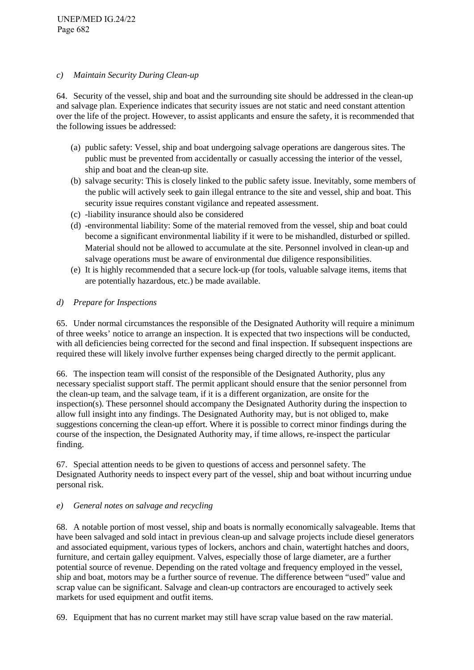### *c) Maintain Security During Clean-up*

64. Security of the vessel, ship and boat and the surrounding site should be addressed in the clean-up and salvage plan. Experience indicates that security issues are not static and need constant attention over the life of the project. However, to assist applicants and ensure the safety, it is recommended that the following issues be addressed:

- (a) public safety: Vessel, ship and boat undergoing salvage operations are dangerous sites. The public must be prevented from accidentally or casually accessing the interior of the vessel, ship and boat and the clean-up site.
- (b) salvage security: This is closely linked to the public safety issue. Inevitably, some members of the public will actively seek to gain illegal entrance to the site and vessel, ship and boat. This security issue requires constant vigilance and repeated assessment.
- (c) -liability insurance should also be considered
- (d) -environmental liability: Some of the material removed from the vessel, ship and boat could become a significant environmental liability if it were to be mishandled, disturbed or spilled. Material should not be allowed to accumulate at the site. Personnel involved in clean-up and salvage operations must be aware of environmental due diligence responsibilities.
- (e) It is highly recommended that a secure lock-up (for tools, valuable salvage items, items that are potentially hazardous, etc.) be made available.

### *d) Prepare for Inspections*

65. Under normal circumstances the responsible of the Designated Authority will require a minimum of three weeks' notice to arrange an inspection. It is expected that two inspections will be conducted, with all deficiencies being corrected for the second and final inspection. If subsequent inspections are required these will likely involve further expenses being charged directly to the permit applicant.

66. The inspection team will consist of the responsible of the Designated Authority, plus any necessary specialist support staff. The permit applicant should ensure that the senior personnel from the clean-up team, and the salvage team, if it is a different organization, are onsite for the inspection(s). These personnel should accompany the Designated Authority during the inspection to allow full insight into any findings. The Designated Authority may, but is not obliged to, make suggestions concerning the clean-up effort. Where it is possible to correct minor findings during the course of the inspection, the Designated Authority may, if time allows, re-inspect the particular finding.

67. Special attention needs to be given to questions of access and personnel safety. The Designated Authority needs to inspect every part of the vessel, ship and boat without incurring undue personal risk.

### *e) General notes on salvage and recycling*

68. A notable portion of most vessel, ship and boats is normally economically salvageable. Items that have been salvaged and sold intact in previous clean-up and salvage projects include diesel generators and associated equipment, various types of lockers, anchors and chain, watertight hatches and doors, furniture, and certain galley equipment. Valves, especially those of large diameter, are a further potential source of revenue. Depending on the rated voltage and frequency employed in the vessel, ship and boat, motors may be a further source of revenue. The difference between "used" value and scrap value can be significant. Salvage and clean-up contractors are encouraged to actively seek markets for used equipment and outfit items.

69. Equipment that has no current market may still have scrap value based on the raw material.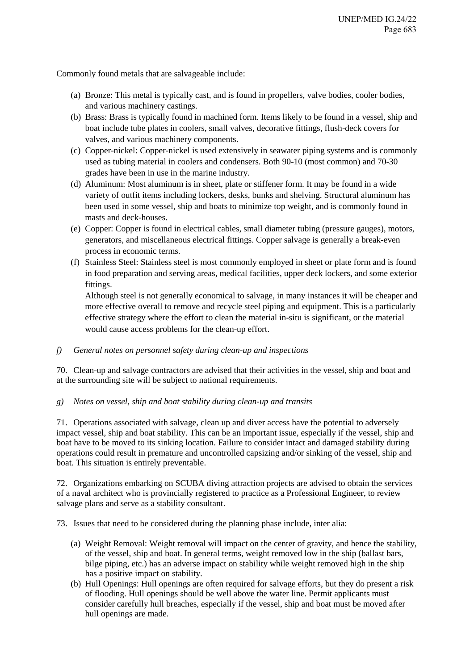Commonly found metals that are salvageable include:

- (a) Bronze: This metal is typically cast, and is found in propellers, valve bodies, cooler bodies, and various machinery castings.
- (b) Brass: Brass is typically found in machined form. Items likely to be found in a vessel, ship and boat include tube plates in coolers, small valves, decorative fittings, flush-deck covers for valves, and various machinery components.
- (c) Copper-nickel: Copper-nickel is used extensively in seawater piping systems and is commonly used as tubing material in coolers and condensers. Both 90-10 (most common) and 70-30 grades have been in use in the marine industry.
- (d) Aluminum: Most aluminum is in sheet, plate or stiffener form. It may be found in a wide variety of outfit items including lockers, desks, bunks and shelving. Structural aluminum has been used in some vessel, ship and boats to minimize top weight, and is commonly found in masts and deck-houses.
- (e) Copper: Copper is found in electrical cables, small diameter tubing (pressure gauges), motors, generators, and miscellaneous electrical fittings. Copper salvage is generally a break-even process in economic terms.
- (f) Stainless Steel: Stainless steel is most commonly employed in sheet or plate form and is found in food preparation and serving areas, medical facilities, upper deck lockers, and some exterior fittings.

Although steel is not generally economical to salvage, in many instances it will be cheaper and more effective overall to remove and recycle steel piping and equipment. This is a particularly effective strategy where the effort to clean the material in-situ is significant, or the material would cause access problems for the clean-up effort.

# *f) General notes on personnel safety during clean-up and inspections*

70. Clean-up and salvage contractors are advised that their activities in the vessel, ship and boat and at the surrounding site will be subject to national requirements.

### *g) Notes on vessel, ship and boat stability during clean-up and transits*

71. Operations associated with salvage, clean up and diver access have the potential to adversely impact vessel, ship and boat stability. This can be an important issue, especially if the vessel, ship and boat have to be moved to its sinking location. Failure to consider intact and damaged stability during operations could result in premature and uncontrolled capsizing and/or sinking of the vessel, ship and boat. This situation is entirely preventable.

72. Organizations embarking on SCUBA diving attraction projects are advised to obtain the services of a naval architect who is provincially registered to practice as a Professional Engineer, to review salvage plans and serve as a stability consultant.

73. Issues that need to be considered during the planning phase include, inter alia:

- (a) Weight Removal: Weight removal will impact on the center of gravity, and hence the stability, of the vessel, ship and boat. In general terms, weight removed low in the ship (ballast bars, bilge piping, etc.) has an adverse impact on stability while weight removed high in the ship has a positive impact on stability.
- (b) Hull Openings: Hull openings are often required for salvage efforts, but they do present a risk of flooding. Hull openings should be well above the water line. Permit applicants must consider carefully hull breaches, especially if the vessel, ship and boat must be moved after hull openings are made.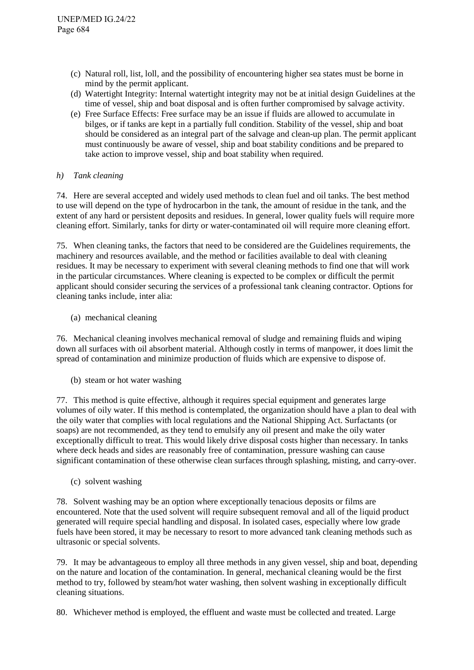- (c) Natural roll, list, loll, and the possibility of encountering higher sea states must be borne in mind by the permit applicant.
- (d) Watertight Integrity: Internal watertight integrity may not be at initial design Guidelines at the time of vessel, ship and boat disposal and is often further compromised by salvage activity.
- (e) Free Surface Effects: Free surface may be an issue if fluids are allowed to accumulate in bilges, or if tanks are kept in a partially full condition. Stability of the vessel, ship and boat should be considered as an integral part of the salvage and clean-up plan. The permit applicant must continuously be aware of vessel, ship and boat stability conditions and be prepared to take action to improve vessel, ship and boat stability when required.

### *h) Tank cleaning*

74. Here are several accepted and widely used methods to clean fuel and oil tanks. The best method to use will depend on the type of hydrocarbon in the tank, the amount of residue in the tank, and the extent of any hard or persistent deposits and residues. In general, lower quality fuels will require more cleaning effort. Similarly, tanks for dirty or water-contaminated oil will require more cleaning effort.

75. When cleaning tanks, the factors that need to be considered are the Guidelines requirements, the machinery and resources available, and the method or facilities available to deal with cleaning residues. It may be necessary to experiment with several cleaning methods to find one that will work in the particular circumstances. Where cleaning is expected to be complex or difficult the permit applicant should consider securing the services of a professional tank cleaning contractor. Options for cleaning tanks include, inter alia:

(a) mechanical cleaning

76. Mechanical cleaning involves mechanical removal of sludge and remaining fluids and wiping down all surfaces with oil absorbent material. Although costly in terms of manpower, it does limit the spread of contamination and minimize production of fluids which are expensive to dispose of.

(b) steam or hot water washing

77. This method is quite effective, although it requires special equipment and generates large volumes of oily water. If this method is contemplated, the organization should have a plan to deal with the oily water that complies with local regulations and the National Shipping Act. Surfactants (or soaps) are not recommended, as they tend to emulsify any oil present and make the oily water exceptionally difficult to treat. This would likely drive disposal costs higher than necessary. In tanks where deck heads and sides are reasonably free of contamination, pressure washing can cause significant contamination of these otherwise clean surfaces through splashing, misting, and carry-over.

(c) solvent washing

78. Solvent washing may be an option where exceptionally tenacious deposits or films are encountered. Note that the used solvent will require subsequent removal and all of the liquid product generated will require special handling and disposal. In isolated cases, especially where low grade fuels have been stored, it may be necessary to resort to more advanced tank cleaning methods such as ultrasonic or special solvents.

79. It may be advantageous to employ all three methods in any given vessel, ship and boat, depending on the nature and location of the contamination. In general, mechanical cleaning would be the first method to try, followed by steam/hot water washing, then solvent washing in exceptionally difficult cleaning situations.

80. Whichever method is employed, the effluent and waste must be collected and treated. Large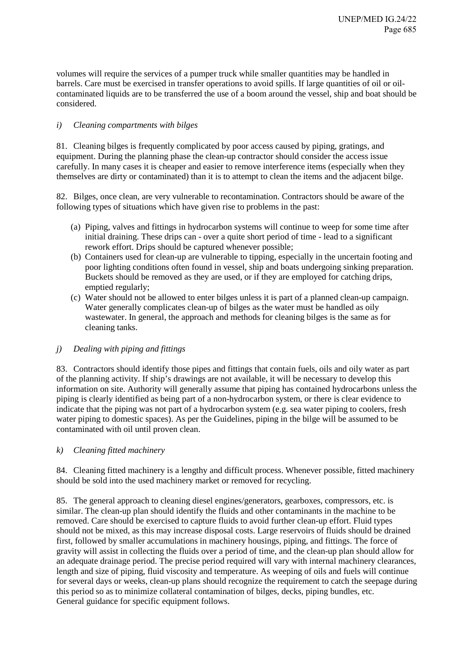volumes will require the services of a pumper truck while smaller quantities may be handled in barrels. Care must be exercised in transfer operations to avoid spills. If large quantities of oil or oilcontaminated liquids are to be transferred the use of a boom around the vessel, ship and boat should be considered.

# *i) Cleaning compartments with bilges*

81. Cleaning bilges is frequently complicated by poor access caused by piping, gratings, and equipment. During the planning phase the clean-up contractor should consider the access issue carefully. In many cases it is cheaper and easier to remove interference items (especially when they themselves are dirty or contaminated) than it is to attempt to clean the items and the adjacent bilge.

82. Bilges, once clean, are very vulnerable to recontamination. Contractors should be aware of the following types of situations which have given rise to problems in the past:

- (a) Piping, valves and fittings in hydrocarbon systems will continue to weep for some time after initial draining. These drips can - over a quite short period of time - lead to a significant rework effort. Drips should be captured whenever possible;
- (b) Containers used for clean-up are vulnerable to tipping, especially in the uncertain footing and poor lighting conditions often found in vessel, ship and boats undergoing sinking preparation. Buckets should be removed as they are used, or if they are employed for catching drips, emptied regularly;
- (c) Water should not be allowed to enter bilges unless it is part of a planned clean-up campaign. Water generally complicates clean-up of bilges as the water must be handled as oily wastewater. In general, the approach and methods for cleaning bilges is the same as for cleaning tanks.

# *j) Dealing with piping and fittings*

83. Contractors should identify those pipes and fittings that contain fuels, oils and oily water as part of the planning activity. If ship's drawings are not available, it will be necessary to develop this information on site. Authority will generally assume that piping has contained hydrocarbons unless the piping is clearly identified as being part of a non-hydrocarbon system, or there is clear evidence to indicate that the piping was not part of a hydrocarbon system (e.g. sea water piping to coolers, fresh water piping to domestic spaces). As per the Guidelines, piping in the bilge will be assumed to be contaminated with oil until proven clean.

# *k) Cleaning fitted machinery*

84. Cleaning fitted machinery is a lengthy and difficult process. Whenever possible, fitted machinery should be sold into the used machinery market or removed for recycling.

85. The general approach to cleaning diesel engines/generators, gearboxes, compressors, etc. is similar. The clean-up plan should identify the fluids and other contaminants in the machine to be removed. Care should be exercised to capture fluids to avoid further clean-up effort. Fluid types should not be mixed, as this may increase disposal costs. Large reservoirs of fluids should be drained first, followed by smaller accumulations in machinery housings, piping, and fittings. The force of gravity will assist in collecting the fluids over a period of time, and the clean-up plan should allow for an adequate drainage period. The precise period required will vary with internal machinery clearances, length and size of piping, fluid viscosity and temperature. As weeping of oils and fuels will continue for several days or weeks, clean-up plans should recognize the requirement to catch the seepage during this period so as to minimize collateral contamination of bilges, decks, piping bundles, etc. General guidance for specific equipment follows.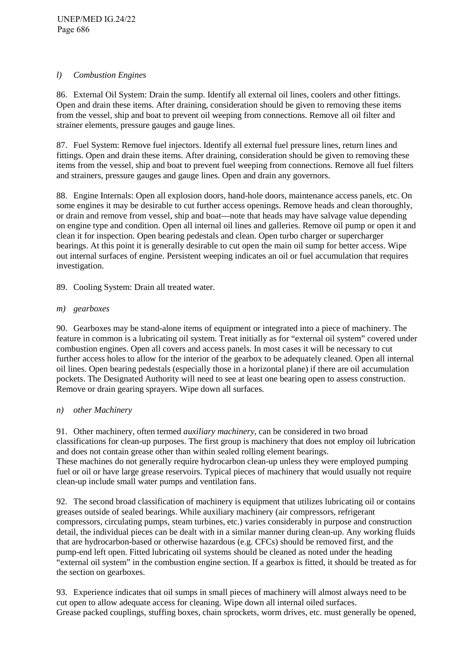### *l) Combustion Engines*

86. External Oil System: Drain the sump. Identify all external oil lines, coolers and other fittings. Open and drain these items. After draining, consideration should be given to removing these items from the vessel, ship and boat to prevent oil weeping from connections. Remove all oil filter and strainer elements, pressure gauges and gauge lines.

87. Fuel System: Remove fuel injectors. Identify all external fuel pressure lines, return lines and fittings. Open and drain these items. After draining, consideration should be given to removing these items from the vessel, ship and boat to prevent fuel weeping from connections. Remove all fuel filters and strainers, pressure gauges and gauge lines. Open and drain any governors.

88. Engine Internals: Open all explosion doors, hand-hole doors, maintenance access panels, etc. On some engines it may be desirable to cut further access openings. Remove heads and clean thoroughly, or drain and remove from vessel, ship and boat—note that heads may have salvage value depending on engine type and condition. Open all internal oil lines and galleries. Remove oil pump or open it and clean it for inspection. Open bearing pedestals and clean. Open turbo charger or supercharger bearings. At this point it is generally desirable to cut open the main oil sump for better access. Wipe out internal surfaces of engine. Persistent weeping indicates an oil or fuel accumulation that requires investigation.

89. Cooling System: Drain all treated water.

# *m) gearboxes*

90. Gearboxes may be stand-alone items of equipment or integrated into a piece of machinery. The feature in common is a lubricating oil system. Treat initially as for "external oil system" covered under combustion engines. Open all covers and access panels. In most cases it will be necessary to cut further access holes to allow for the interior of the gearbox to be adequately cleaned. Open all internal oil lines. Open bearing pedestals (especially those in a horizontal plane) if there are oil accumulation pockets. The Designated Authority will need to see at least one bearing open to assess construction. Remove or drain gearing sprayers. Wipe down all surfaces.

### *n) other Machinery*

91. Other machinery, often termed *auxiliary machinery*, can be considered in two broad classifications for clean-up purposes. The first group is machinery that does not employ oil lubrication and does not contain grease other than within sealed rolling element bearings. These machines do not generally require hydrocarbon clean-up unless they were employed pumping fuel or oil or have large grease reservoirs. Typical pieces of machinery that would usually not require clean-up include small water pumps and ventilation fans.

92. The second broad classification of machinery is equipment that utilizes lubricating oil or contains greases outside of sealed bearings. While auxiliary machinery (air compressors, refrigerant compressors, circulating pumps, steam turbines, etc.) varies considerably in purpose and construction detail, the individual pieces can be dealt with in a similar manner during clean-up. Any working fluids that are hydrocarbon-based or otherwise hazardous (e.g. CFCs) should be removed first, and the pump-end left open. Fitted lubricating oil systems should be cleaned as noted under the heading "external oil system" in the combustion engine section. If a gearbox is fitted, it should be treated as for the section on gearboxes.

93. Experience indicates that oil sumps in small pieces of machinery will almost always need to be cut open to allow adequate access for cleaning. Wipe down all internal oiled surfaces. Grease packed couplings, stuffing boxes, chain sprockets, worm drives, etc. must generally be opened,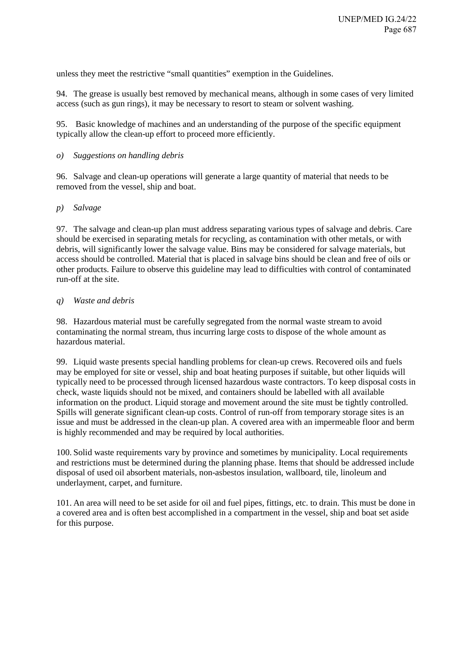unless they meet the restrictive "small quantities" exemption in the Guidelines.

94. The grease is usually best removed by mechanical means, although in some cases of very limited access (such as gun rings), it may be necessary to resort to steam or solvent washing.

95. Basic knowledge of machines and an understanding of the purpose of the specific equipment typically allow the clean-up effort to proceed more efficiently.

### *o) Suggestions on handling debris*

96. Salvage and clean-up operations will generate a large quantity of material that needs to be removed from the vessel, ship and boat.

### *p) Salvage*

97. The salvage and clean-up plan must address separating various types of salvage and debris. Care should be exercised in separating metals for recycling, as contamination with other metals, or with debris, will significantly lower the salvage value. Bins may be considered for salvage materials, but access should be controlled. Material that is placed in salvage bins should be clean and free of oils or other products. Failure to observe this guideline may lead to difficulties with control of contaminated run-off at the site.

### *q) Waste and debris*

98. Hazardous material must be carefully segregated from the normal waste stream to avoid contaminating the normal stream, thus incurring large costs to dispose of the whole amount as hazardous material.

99. Liquid waste presents special handling problems for clean-up crews. Recovered oils and fuels may be employed for site or vessel, ship and boat heating purposes if suitable, but other liquids will typically need to be processed through licensed hazardous waste contractors. To keep disposal costs in check, waste liquids should not be mixed, and containers should be labelled with all available information on the product. Liquid storage and movement around the site must be tightly controlled. Spills will generate significant clean-up costs. Control of run-off from temporary storage sites is an issue and must be addressed in the clean-up plan. A covered area with an impermeable floor and berm is highly recommended and may be required by local authorities.

100. Solid waste requirements vary by province and sometimes by municipality. Local requirements and restrictions must be determined during the planning phase. Items that should be addressed include disposal of used oil absorbent materials, non-asbestos insulation, wallboard, tile, linoleum and underlayment, carpet, and furniture.

101. An area will need to be set aside for oil and fuel pipes, fittings, etc. to drain. This must be done in a covered area and is often best accomplished in a compartment in the vessel, ship and boat set aside for this purpose.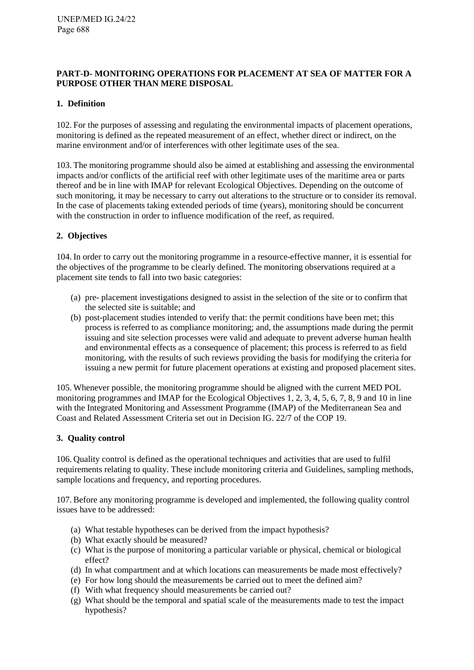### <span id="page-24-0"></span>**PART-D- MONITORING OPERATIONS FOR PLACEMENT AT SEA OF MATTER FOR A PURPOSE OTHER THAN MERE DISPOSAL**

## <span id="page-24-1"></span>**1. Definition**

102. For the purposes of assessing and regulating the environmental impacts of placement operations, monitoring is defined as the repeated measurement of an effect, whether direct or indirect, on the marine environment and/or of interferences with other legitimate uses of the sea.

103. The monitoring programme should also be aimed at establishing and assessing the environmental impacts and/or conflicts of the artificial reef with other legitimate uses of the maritime area or parts thereof and be in line with IMAP for relevant Ecological Objectives. Depending on the outcome of such monitoring, it may be necessary to carry out alterations to the structure or to consider its removal. In the case of placements taking extended periods of time (years), monitoring should be concurrent with the construction in order to influence modification of the reef, as required.

### <span id="page-24-2"></span>**2. Objectives**

104. In order to carry out the monitoring programme in a resource-effective manner, it is essential for the objectives of the programme to be clearly defined. The monitoring observations required at a placement site tends to fall into two basic categories:

- (a) pre- placement investigations designed to assist in the selection of the site or to confirm that the selected site is suitable; and
- (b) post-placement studies intended to verify that: the permit conditions have been met; this process is referred to as compliance monitoring; and, the assumptions made during the permit issuing and site selection processes were valid and adequate to prevent adverse human health and environmental effects as a consequence of placement; this process is referred to as field monitoring, with the results of such reviews providing the basis for modifying the criteria for issuing a new permit for future placement operations at existing and proposed placement sites.

105. Whenever possible, the monitoring programme should be aligned with the current MED POL monitoring programmes and IMAP for the Ecological Objectives 1, 2, 3, 4, 5, 6, 7, 8, 9 and 10 in line with the Integrated Monitoring and Assessment Programme (IMAP) of the Mediterranean Sea and Coast and Related Assessment Criteria set out in Decision IG. 22/7 of the COP 19.

### <span id="page-24-3"></span>**3. Quality control**

106. Quality control is defined as the operational techniques and activities that are used to fulfil requirements relating to quality. These include monitoring criteria and Guidelines, sampling methods, sample locations and frequency, and reporting procedures.

107. Before any monitoring programme is developed and implemented, the following quality control issues have to be addressed:

- (a) What testable hypotheses can be derived from the impact hypothesis?
- (b) What exactly should be measured?
- (c) What is the purpose of monitoring a particular variable or physical, chemical or biological effect?
- (d) In what compartment and at which locations can measurements be made most effectively?
- (e) For how long should the measurements be carried out to meet the defined aim?
- (f) With what frequency should measurements be carried out?
- (g) What should be the temporal and spatial scale of the measurements made to test the impact hypothesis?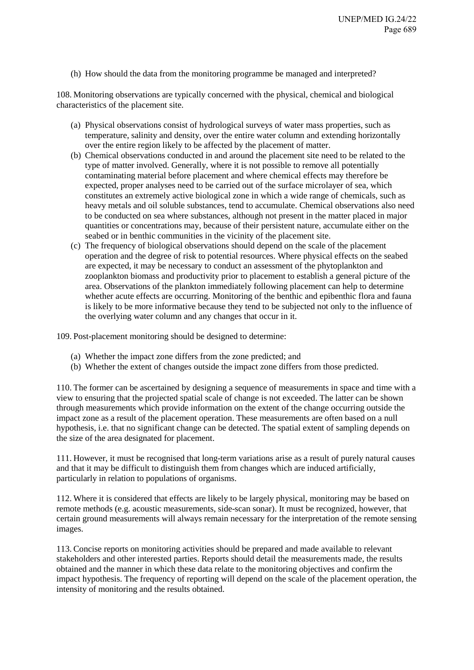<span id="page-25-0"></span>(h) How should the data from the monitoring programme be managed and interpreted?

108. Monitoring observations are typically concerned with the physical, chemical and biological characteristics of the placement site.

- (a) Physical observations consist of hydrological surveys of water mass properties, such as temperature, salinity and density, over the entire water column and extending horizontally over the entire region likely to be affected by the placement of matter.
- (b) Chemical observations conducted in and around the placement site need to be related to the type of matter involved. Generally, where it is not possible to remove all potentially contaminating material before placement and where chemical effects may therefore be expected, proper analyses need to be carried out of the surface microlayer of sea, which constitutes an extremely active biological zone in which a wide range of chemicals, such as heavy metals and oil soluble substances, tend to accumulate. Chemical observations also need to be conducted on sea where substances, although not present in the matter placed in major quantities or concentrations may, because of their persistent nature, accumulate either on the seabed or in benthic communities in the vicinity of the placement site.
- (c) The frequency of biological observations should depend on the scale of the placement operation and the degree of risk to potential resources. Where physical effects on the seabed are expected, it may be necessary to conduct an assessment of the phytoplankton and zooplankton biomass and productivity prior to placement to establish a general picture of the area. Observations of the plankton immediately following placement can help to determine whether acute effects are occurring. Monitoring of the benthic and epibenthic flora and fauna is likely to be more informative because they tend to be subjected not only to the influence of the overlying water column and any changes that occur in it.

109. Post-placement monitoring should be designed to determine:

- (a) Whether the impact zone differs from the zone predicted; and
- (b) Whether the extent of changes outside the impact zone differs from those predicted.

110. The former can be ascertained by designing a sequence of measurements in space and time with a view to ensuring that the projected spatial scale of change is not exceeded. The latter can be shown through measurements which provide information on the extent of the change occurring outside the impact zone as a result of the placement operation. These measurements are often based on a null hypothesis, i.e. that no significant change can be detected. The spatial extent of sampling depends on the size of the area designated for placement.

111. However, it must be recognised that long-term variations arise as a result of purely natural causes and that it may be difficult to distinguish them from changes which are induced artificially, particularly in relation to populations of organisms.

112. Where it is considered that effects are likely to be largely physical, monitoring may be based on remote methods (e.g. acoustic measurements, side-scan sonar). It must be recognized, however, that certain ground measurements will always remain necessary for the interpretation of the remote sensing images.

113. Concise reports on monitoring activities should be prepared and made available to relevant stakeholders and other interested parties. Reports should detail the measurements made, the results obtained and the manner in which these data relate to the monitoring objectives and confirm the impact hypothesis. The frequency of reporting will depend on the scale of the placement operation, the intensity of monitoring and the results obtained.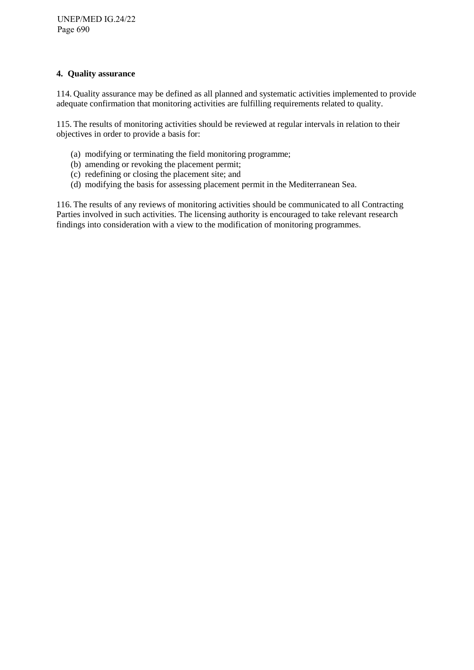### **4. Quality assurance**

114. Quality assurance may be defined as all planned and systematic activities implemented to provide adequate confirmation that monitoring activities are fulfilling requirements related to quality.

115. The results of monitoring activities should be reviewed at regular intervals in relation to their objectives in order to provide a basis for:

- (a) modifying or terminating the field monitoring programme;
- (b) amending or revoking the placement permit;
- (c) redefining or closing the placement site; and
- (d) modifying the basis for assessing placement permit in the Mediterranean Sea.

116. The results of any reviews of monitoring activities should be communicated to all Contracting Parties involved in such activities. The licensing authority is encouraged to take relevant research findings into consideration with a view to the modification of monitoring programmes.